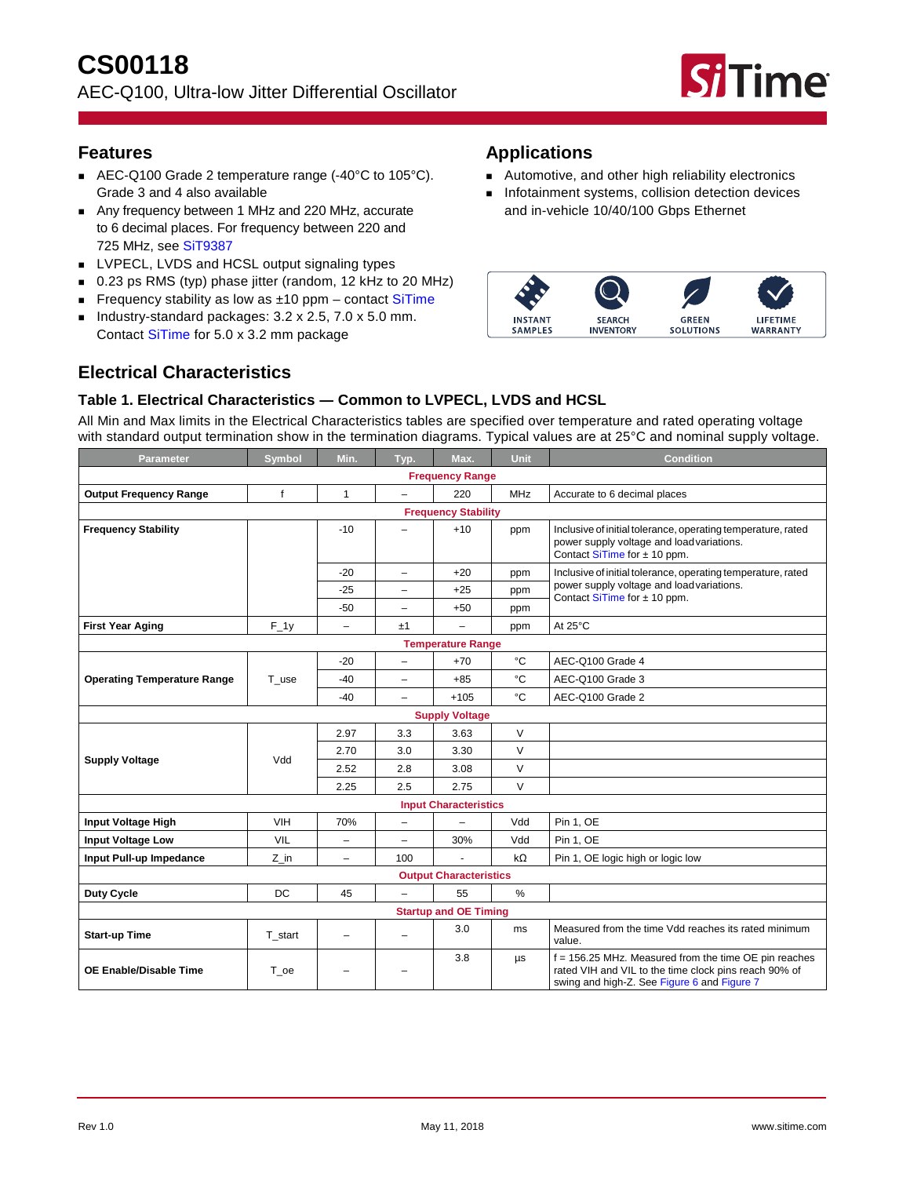

## **Features**

- AEC-Q100 Grade 2 temperature range (-40°C to 105°C). Grade 3 and 4 also available
- Any frequency between 1 MHz and 220 MHz, accurate to 6 decimal places. For frequency between 220 and 725 MHz, see [SiT9387](https://www.sitime.com/products/automotive-high-temp-oscillators/sit9387)
- **LVPECL, LVDS and HCSL output signaling types**
- 0.23 ps RMS (typ) phase jitter (random, 12 kHz to 20 MHz)
- Frequency stability as low as  $\pm 10$  ppm contact [SiTime](https://www.sitime.com/company/contact-us)
- Industry-standard packages:  $3.2 \times 2.5$ ,  $7.0 \times 5.0$  mm. Contact [SiTime](https://www.sitime.com/company/contact-us) for 5.0 x 3.2 mm package

## **Applications**

- Automotive, and other high reliability electronics
- **Infotainment systems, collision detection devices** and in-vehicle 10/40/100 Gbps Ethernet



## **Electrical Characteristics**

### **Table 1. Electrical Characteristics ― Common to LVPECL, LVDS and HCSL**

All Min and Max limits in the Electrical Characteristics tables are specified over temperature and rated operating voltage with standard output termination show in the termination diagrams. Typical values are at 25°C and nominal supply voltage.

| <b>Parameter</b>                   | <b>Symbol</b>   | Min.                     | Typ.                     | Max.                          | Unit        | <b>Condition</b>                                                                                                                                                |  |  |
|------------------------------------|-----------------|--------------------------|--------------------------|-------------------------------|-------------|-----------------------------------------------------------------------------------------------------------------------------------------------------------------|--|--|
|                                    |                 |                          |                          | <b>Frequency Range</b>        |             |                                                                                                                                                                 |  |  |
| <b>Output Frequency Range</b>      | f               | $\mathbf{1}$             | L,                       | 220                           | MHz         | Accurate to 6 decimal places                                                                                                                                    |  |  |
|                                    |                 |                          |                          | <b>Frequency Stability</b>    |             |                                                                                                                                                                 |  |  |
| <b>Frequency Stability</b>         |                 | $-10$                    |                          | $+10$                         | ppm         | Inclusive of initial tolerance, operating temperature, rated<br>power supply voltage and load variations.<br>Contact SiTime for $\pm$ 10 ppm.                   |  |  |
|                                    |                 | $-20$                    | $\overline{\phantom{0}}$ | $+20$                         | ppm         | Inclusive of initial tolerance, operating temperature, rated                                                                                                    |  |  |
|                                    |                 | $-25$                    | $\overline{\phantom{0}}$ | $+25$                         | ppm         | power supply voltage and load variations.<br>Contact SiTime for $\pm$ 10 ppm.                                                                                   |  |  |
|                                    |                 | $-50$                    |                          | $+50$                         | ppm         |                                                                                                                                                                 |  |  |
| <b>First Year Aging</b>            | $F_1$           | $\overline{\phantom{0}}$ | ±1                       | $\overline{\phantom{a}}$      | ppm         | At 25°C                                                                                                                                                         |  |  |
| <b>Temperature Range</b>           |                 |                          |                          |                               |             |                                                                                                                                                                 |  |  |
|                                    |                 | $-20$                    | $\overline{\phantom{0}}$ | $+70$                         | °C          | AEC-Q100 Grade 4                                                                                                                                                |  |  |
| <b>Operating Temperature Range</b> | T_use           | $-40$                    | -                        | $+85$                         | $^{\circ}C$ | AEC-Q100 Grade 3                                                                                                                                                |  |  |
|                                    |                 | $-40$                    | $\overline{\phantom{0}}$ | $+105$                        | °C          | AEC-Q100 Grade 2                                                                                                                                                |  |  |
|                                    |                 |                          |                          | <b>Supply Voltage</b>         |             |                                                                                                                                                                 |  |  |
|                                    | Vdd             | 2.97                     | 3.3                      | 3.63                          | $\vee$      |                                                                                                                                                                 |  |  |
|                                    |                 | 2.70                     | 3.0                      | 3.30                          | $\vee$      |                                                                                                                                                                 |  |  |
| <b>Supply Voltage</b>              |                 | 2.52                     | 2.8                      | 3.08                          | $\vee$      |                                                                                                                                                                 |  |  |
|                                    |                 | 2.25                     | 2.5                      | 2.75                          | $\vee$      |                                                                                                                                                                 |  |  |
|                                    |                 |                          |                          | <b>Input Characteristics</b>  |             |                                                                                                                                                                 |  |  |
| Input Voltage High                 | <b>VIH</b>      | 70%                      | $\overline{\phantom{0}}$ | $\overline{\phantom{m}}$      | Vdd         | Pin 1, OE                                                                                                                                                       |  |  |
| <b>Input Voltage Low</b>           | VIL             | $\equiv$                 | L,                       | 30%                           | Vdd         | Pin 1, OE                                                                                                                                                       |  |  |
| Input Pull-up Impedance            | $Z_{\text{in}}$ | $\overline{\phantom{0}}$ | 100                      | $\blacksquare$                | $k\Omega$   | Pin 1, OE logic high or logic low                                                                                                                               |  |  |
|                                    |                 |                          |                          | <b>Output Characteristics</b> |             |                                                                                                                                                                 |  |  |
| <b>Duty Cycle</b>                  | DC              | 45                       | ÷                        | 55                            | $\%$        |                                                                                                                                                                 |  |  |
|                                    |                 |                          |                          | <b>Startup and OE Timing</b>  |             |                                                                                                                                                                 |  |  |
| <b>Start-up Time</b>               | T start         | $\overline{\phantom{0}}$ | $\equiv$                 | 3.0                           | ms          | Measured from the time Vdd reaches its rated minimum<br>value.                                                                                                  |  |  |
| <b>OE Enable/Disable Time</b>      | T oe            |                          |                          | 3.8                           | μs          | $f = 156.25$ MHz. Measured from the time OE pin reaches<br>rated VIH and VIL to the time clock pins reach 90% of<br>swing and high-Z. See Figure 6 and Figure 7 |  |  |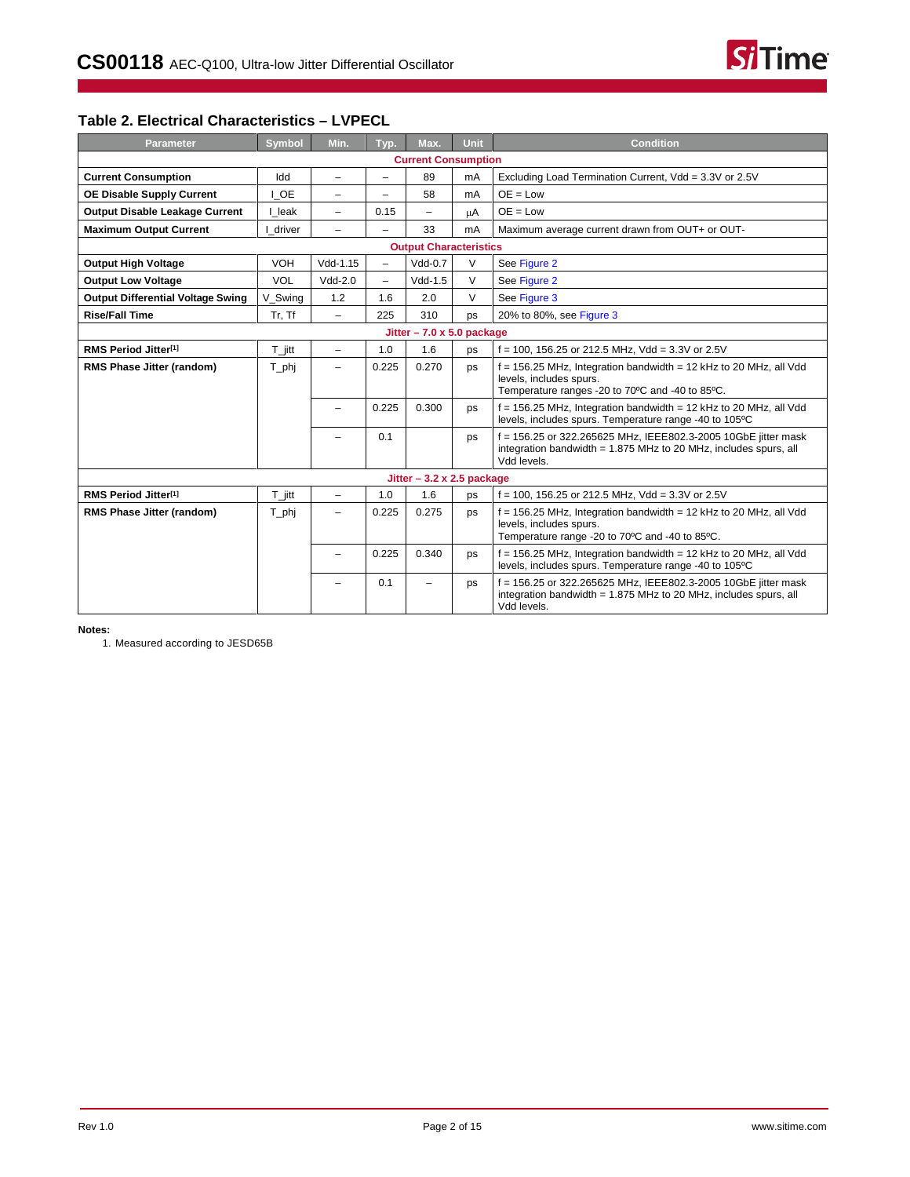## **Table 2. Electrical Characteristics – LVPECL**

| Parameter                                | <b>Symbol</b>        | Min.                     | Typ.                     | Max.                             | Unit      | <b>Condition</b>                                                                                                                                  |
|------------------------------------------|----------------------|--------------------------|--------------------------|----------------------------------|-----------|---------------------------------------------------------------------------------------------------------------------------------------------------|
|                                          |                      |                          |                          | <b>Current Consumption</b>       |           |                                                                                                                                                   |
| <b>Current Consumption</b>               | Idd                  | ÷,                       | $\overline{\phantom{m}}$ | 89                               | mA        | Excluding Load Termination Current, Vdd = 3.3V or 2.5V                                                                                            |
| <b>OE Disable Supply Current</b>         | I OE                 | Ξ.                       | -                        | 58                               | mA        | $OE = Low$                                                                                                                                        |
| <b>Output Disable Leakage Current</b>    | I leak               | Ξ.                       | 0.15                     | $\overline{\phantom{0}}$         | μA        | $OE = Low$                                                                                                                                        |
| <b>Maximum Output Current</b>            | driver               | $\overline{\phantom{0}}$ | L,                       | 33                               | mA        | Maximum average current drawn from OUT+ or OUT-                                                                                                   |
|                                          |                      |                          |                          | <b>Output Characteristics</b>    |           |                                                                                                                                                   |
| <b>Output High Voltage</b>               | VOH                  | Vdd-1.15                 | $\overline{\phantom{0}}$ | $Vdd-0.7$                        | $\vee$    | See Figure 2                                                                                                                                      |
| <b>Output Low Voltage</b>                | VOL                  | $Vdd-2.0$                | -                        | $Vdd-1.5$                        | $\vee$    | See Figure 2                                                                                                                                      |
| <b>Output Differential Voltage Swing</b> | V Swing              | 1.2                      | 1.6                      | 2.0                              | $\vee$    | See Figure 3                                                                                                                                      |
| <b>Rise/Fall Time</b>                    | Tr, Tf               | ÷                        | 225                      | 310                              | ps        | 20% to 80%, see Figure 3                                                                                                                          |
|                                          |                      |                          |                          | Jitter $-7.0 \times 5.0$ package |           |                                                                                                                                                   |
| RMS Period Jitter <sup>[1]</sup>         | T jitt               | $\overline{\phantom{0}}$ | 1.0                      | 1.6                              | ps        | $f = 100$ , 156.25 or 212.5 MHz, Vdd = 3.3V or 2.5V                                                                                               |
| RMS Phase Jitter (random)                | T_phj                | $\overline{\phantom{0}}$ | 0.225                    | 0.270                            | ps        | $f = 156.25$ MHz, Integration bandwidth = 12 kHz to 20 MHz, all Vdd<br>levels, includes spurs.<br>Temperature ranges -20 to 70°C and -40 to 85°C. |
|                                          |                      |                          | 0.225                    | 0.300                            | ps        | f = 156.25 MHz, Integration bandwidth = 12 kHz to 20 MHz, all Vdd<br>levels, includes spurs. Temperature range -40 to 105°C                       |
|                                          |                      |                          | 0.1                      |                                  | <b>DS</b> | f = 156.25 or 322.265625 MHz, IEEE802.3-2005 10GbE jitter mask<br>integration bandwidth = 1.875 MHz to 20 MHz, includes spurs, all<br>Vdd levels. |
|                                          |                      |                          |                          | Jitter $-3.2 \times 2.5$ package |           |                                                                                                                                                   |
| RMS Period Jitter <sup>[1]</sup>         | $T_{\parallel}$ jitt | ÷                        | 1.0                      | 1.6                              | <b>DS</b> | $f = 100$ . 156.25 or 212.5 MHz. Vdd = 3.3V or 2.5V                                                                                               |
| RMS Phase Jitter (random)                | $T$ <sub>_phj</sub>  |                          | 0.225                    | 0.275                            | ps        | $f = 156.25$ MHz, Integration bandwidth = 12 kHz to 20 MHz, all Vdd<br>levels, includes spurs.<br>Temperature range -20 to 70°C and -40 to 85°C.  |
|                                          |                      | -                        | 0.225                    | 0.340                            | DS        | $f = 156.25$ MHz, Integration bandwidth = 12 kHz to 20 MHz, all Vdd<br>levels, includes spurs. Temperature range -40 to 105°C                     |
|                                          |                      |                          | 0.1                      |                                  | ps        | f = 156.25 or 322.265625 MHz, IEEE802.3-2005 10GbE jitter mask<br>integration bandwidth = 1.875 MHz to 20 MHz, includes spurs, all<br>Vdd levels. |

<span id="page-1-0"></span>**Notes:**

1. Measured according to JESD65B

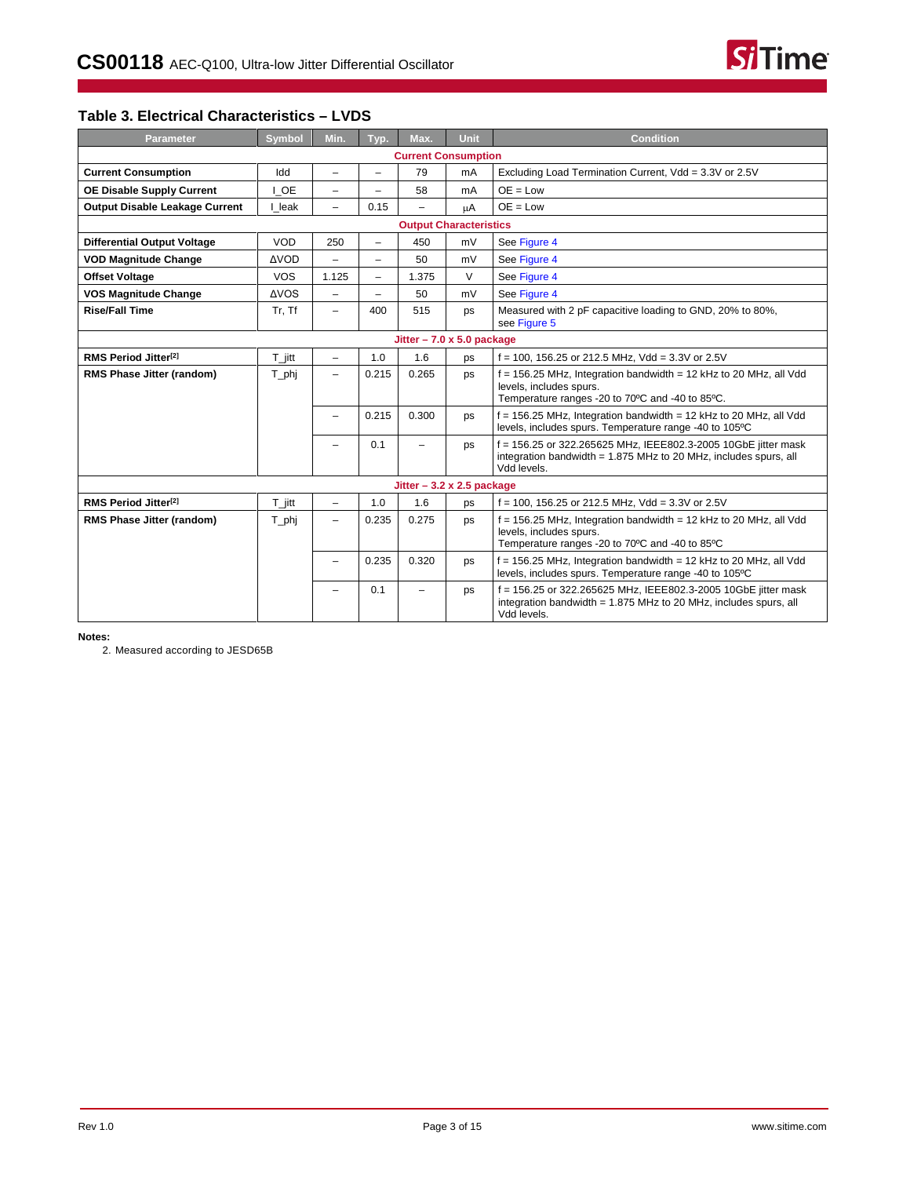### **Table 3. Electrical Characteristics – LVDS**

| Parameter                             | <b>Symbol</b>                    | Min.                     | Typ.  | Max.                             | Unit | <b>Condition</b>                                                                                                                                  |  |
|---------------------------------------|----------------------------------|--------------------------|-------|----------------------------------|------|---------------------------------------------------------------------------------------------------------------------------------------------------|--|
|                                       |                                  |                          |       | <b>Current Consumption</b>       |      |                                                                                                                                                   |  |
| <b>Current Consumption</b>            | Idd                              | $\overline{\phantom{a}}$ | -     | 79                               | mA   | Excluding Load Termination Current, Vdd = 3.3V or 2.5V                                                                                            |  |
| <b>OE Disable Supply Current</b>      | I OE                             | $\overline{\phantom{0}}$ | $=$   | 58                               | mA   | $OE = Low$                                                                                                                                        |  |
| <b>Output Disable Leakage Current</b> | I leak                           | $\overline{\phantom{0}}$ | 0.15  | $\overline{\phantom{m}}$         | μA   | $OE = Low$                                                                                                                                        |  |
|                                       |                                  |                          |       | <b>Output Characteristics</b>    |      |                                                                                                                                                   |  |
| <b>Differential Output Voltage</b>    | VOD                              | 250                      | -     | 450                              | mV   | See Figure 4                                                                                                                                      |  |
| <b>VOD Magnitude Change</b>           | <b>AVOD</b>                      | $\overline{\phantom{0}}$ | $-$   | 50                               | mV   | See Figure 4                                                                                                                                      |  |
| <b>Offset Voltage</b>                 | <b>VOS</b>                       | 1.125                    | Ξ.    | 1.375                            | V    | See Figure 4                                                                                                                                      |  |
| <b>VOS Magnitude Change</b>           | <b>AVOS</b>                      | $\overline{\phantom{0}}$ | $=$   | 50                               | mV   | See Figure 4                                                                                                                                      |  |
| <b>Rise/Fall Time</b>                 | Tr, Tf                           | $\overline{\phantom{0}}$ | 400   | 515                              | ps   | Measured with 2 pF capacitive loading to GND, 20% to 80%,<br>see Figure 5                                                                         |  |
|                                       | Jitter $-7.0 \times 5.0$ package |                          |       |                                  |      |                                                                                                                                                   |  |
| RMS Period Jitter <sup>[2]</sup>      | $T_{\parallel}$ itt              | $\overline{\phantom{0}}$ | 1.0   | 1.6                              | ps   | $f = 100$ , 156.25 or 212.5 MHz, Vdd = 3.3V or 2.5V                                                                                               |  |
| RMS Phase Jitter (random)             | $T$ <sub>_phj</sub>              | $\overline{\phantom{0}}$ | 0.215 | 0.265                            | ps   | $f = 156.25$ MHz, Integration bandwidth = 12 kHz to 20 MHz, all Vdd<br>levels, includes spurs.<br>Temperature ranges -20 to 70°C and -40 to 85°C. |  |
|                                       |                                  | $\overline{\phantom{0}}$ | 0.215 | 0.300                            | ps   | $f = 156.25$ MHz, Integration bandwidth = 12 kHz to 20 MHz, all Vdd<br>levels, includes spurs. Temperature range -40 to 105°C                     |  |
|                                       |                                  |                          | 0.1   | $\overline{\phantom{0}}$         | ps   | f = 156.25 or 322.265625 MHz, IEEE802.3-2005 10GbE jitter mask<br>integration bandwidth = 1.875 MHz to 20 MHz, includes spurs, all<br>Vdd levels. |  |
|                                       |                                  |                          |       | Jitter $-3.2 \times 2.5$ package |      |                                                                                                                                                   |  |
| RMS Period Jitter <sup>[2]</sup>      | $T$ jitt                         | $\equiv$                 | 1.0   | 1.6                              | ps   | $f = 100$ , 156.25 or 212.5 MHz, Vdd = 3.3V or 2.5V                                                                                               |  |
| RMS Phase Jitter (random)             | $T$ <sub>_phj</sub>              | $\overline{\phantom{0}}$ | 0.235 | 0.275                            | ps   | $f = 156.25$ MHz, Integration bandwidth = 12 kHz to 20 MHz, all Vdd<br>levels, includes spurs.<br>Temperature ranges -20 to 70°C and -40 to 85°C  |  |
|                                       |                                  | -                        | 0.235 | 0.320                            | ps   | $f = 156.25$ MHz, Integration bandwidth = 12 kHz to 20 MHz, all Vdd<br>levels, includes spurs. Temperature range -40 to 105°C                     |  |
|                                       |                                  |                          | 0.1   | $\overline{\phantom{0}}$         | ps   | f = 156.25 or 322.265625 MHz, IEEE802.3-2005 10GbE jitter mask<br>integration bandwidth = 1.875 MHz to 20 MHz, includes spurs, all<br>Vdd levels. |  |

**Notes:**

<span id="page-2-0"></span>2. Measured according to JESD65B

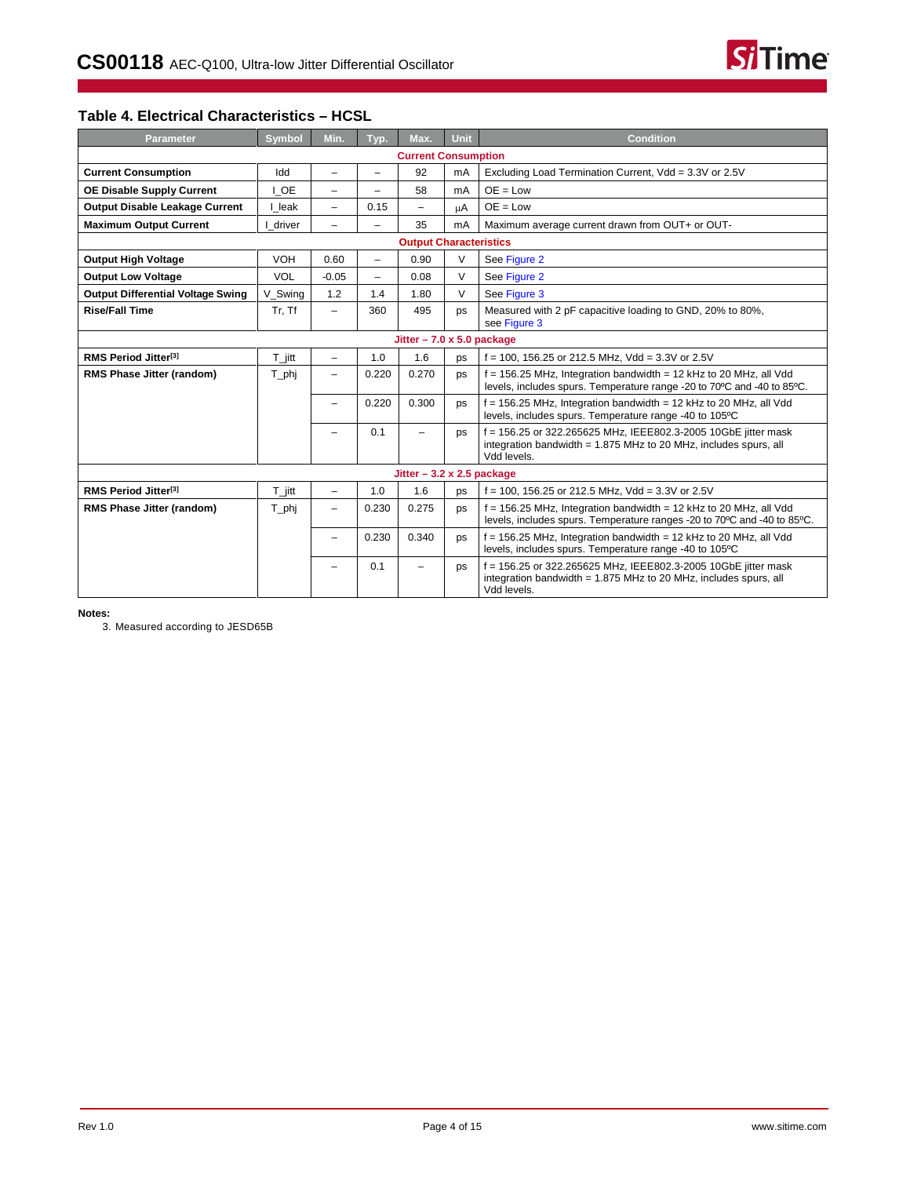### **Table 4. Electrical Characteristics – HCSL**

| Parameter                                | <b>Symbol</b>        | Min.                     | Typ.                     | Max.                             | <b>Unit</b> | <b>Condition</b>                                                                                                                                  |
|------------------------------------------|----------------------|--------------------------|--------------------------|----------------------------------|-------------|---------------------------------------------------------------------------------------------------------------------------------------------------|
|                                          |                      |                          |                          | <b>Current Consumption</b>       |             |                                                                                                                                                   |
| <b>Current Consumption</b>               | Idd                  | $\overline{\phantom{0}}$ | $\overline{\phantom{0}}$ | 92                               | mA          | Excluding Load Termination Current, Vdd = 3.3V or 2.5V                                                                                            |
| OE Disable Supply Current                | I OE                 | $\overline{\phantom{0}}$ | $\overline{\phantom{0}}$ | 58                               | mA          | $OE = Low$                                                                                                                                        |
| <b>Output Disable Leakage Current</b>    | I leak               | $\overline{\phantom{m}}$ | 0.15                     | -                                | μA          | $OE = Low$                                                                                                                                        |
| <b>Maximum Output Current</b>            | driver               | $\overline{\phantom{0}}$ | $\overline{\phantom{0}}$ | 35                               | mA          | Maximum average current drawn from OUT+ or OUT-                                                                                                   |
|                                          |                      |                          |                          | <b>Output Characteristics</b>    |             |                                                                                                                                                   |
| <b>Output High Voltage</b>               | <b>VOH</b>           | 0.60                     | $-$                      | 0.90                             | $\vee$      | See Figure 2                                                                                                                                      |
| <b>Output Low Voltage</b>                | <b>VOL</b>           | $-0.05$                  | $\overline{\phantom{0}}$ | 0.08                             | V           | See Figure 2                                                                                                                                      |
| <b>Output Differential Voltage Swing</b> | V Swing              | 1.2                      | 1.4                      | 1.80                             | V           | See Figure 3                                                                                                                                      |
| <b>Rise/Fall Time</b>                    | Tr, Tf               | $\overline{\phantom{0}}$ | 360                      | 495                              | ps          | Measured with 2 pF capacitive loading to GND, 20% to 80%,<br>see Figure 3                                                                         |
|                                          |                      |                          |                          | Jitter $-7.0 \times 5.0$ package |             |                                                                                                                                                   |
| RMS Period Jitter <sup>[3]</sup>         | $T$ jitt             | $\overline{\phantom{a}}$ | 1.0                      | 1.6                              | ps          | $f = 100$ , 156.25 or 212.5 MHz, Vdd = 3.3V or 2.5V                                                                                               |
| RMS Phase Jitter (random)                | $T_{phi}$            | $\overline{\phantom{0}}$ | 0.220                    | 0.270                            | ps          | $f = 156.25$ MHz, Integration bandwidth = 12 kHz to 20 MHz, all Vdd<br>levels, includes spurs. Temperature range -20 to 70°C and -40 to 85°C.     |
|                                          |                      | -                        | 0.220                    | 0.300                            | ps          | $f = 156.25$ MHz, Integration bandwidth = 12 kHz to 20 MHz, all Vdd<br>levels, includes spurs. Temperature range -40 to 105°C                     |
|                                          |                      | -                        | 0.1                      | $\overline{\phantom{0}}$         | ps          | f = 156.25 or 322.265625 MHz, IEEE802.3-2005 10GbE jitter mask<br>integration bandwidth = 1.875 MHz to 20 MHz, includes spurs, all<br>Vdd levels. |
|                                          |                      |                          |                          | Jitter $-3.2 \times 2.5$ package |             |                                                                                                                                                   |
| RMS Period Jitter <sup>[3]</sup>         | $T_{\parallel}$ jitt | $\equiv$                 | 1.0                      | 1.6                              | ps          | $f = 100$ , 156.25 or 212.5 MHz, Vdd = 3.3V or 2.5V                                                                                               |
| RMS Phase Jitter (random)                | $T$ <sub>_phj</sub>  | $\overline{\phantom{0}}$ | 0.230                    | 0.275                            | ps          | $f = 156.25$ MHz, Integration bandwidth = 12 kHz to 20 MHz, all Vdd<br>levels, includes spurs. Temperature ranges -20 to 70°C and -40 to 85°C.    |
|                                          |                      | -                        | 0.230                    | 0.340                            | ps          | $f = 156.25$ MHz, Integration bandwidth = 12 kHz to 20 MHz, all Vdd<br>levels, includes spurs. Temperature range -40 to 105°C                     |
|                                          |                      |                          | 0.1                      | -                                | ps          | f = 156.25 or 322.265625 MHz, IEEE802.3-2005 10GbE jitter mask<br>integration bandwidth = 1.875 MHz to 20 MHz, includes spurs, all<br>Vdd levels. |

<span id="page-3-0"></span>**Notes:**

3. Measured according to JESD65B

**Si**Time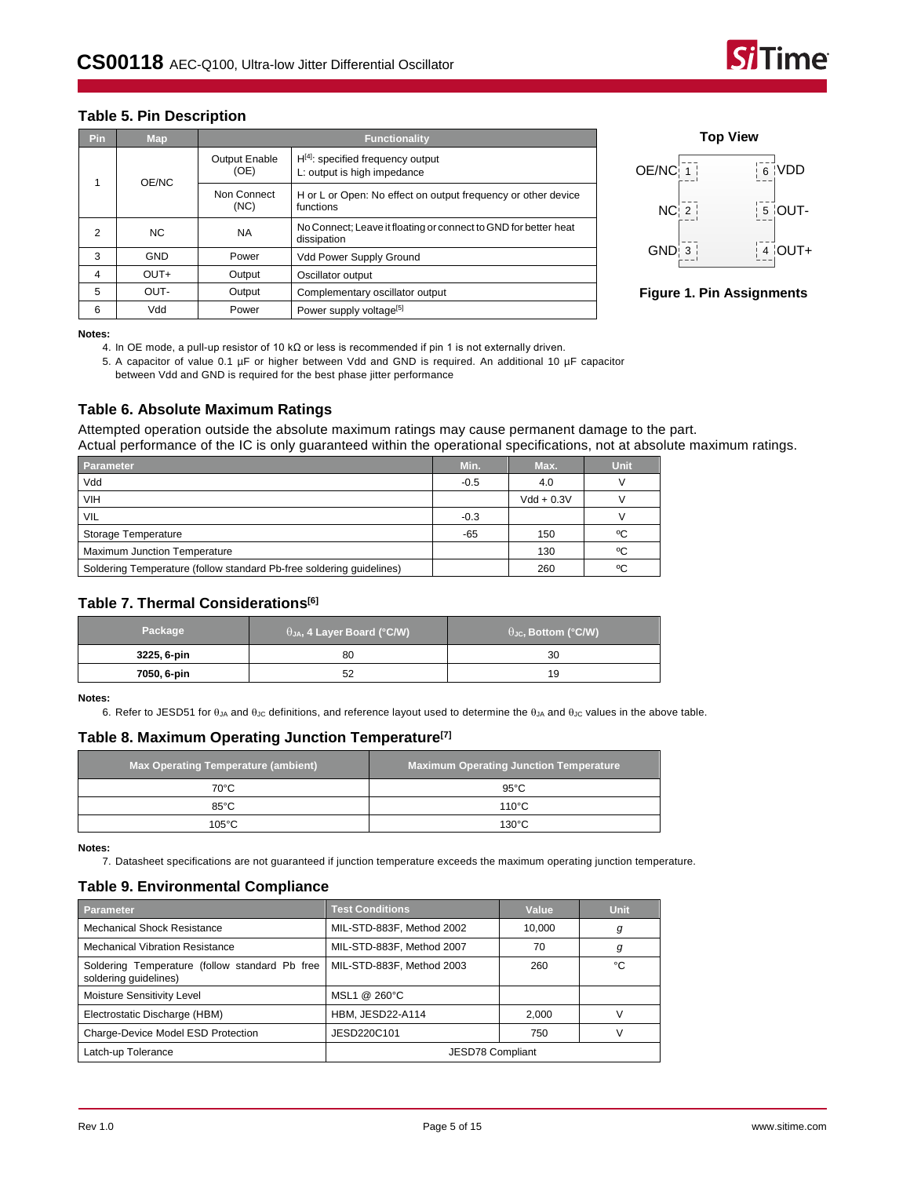## **Table 5. Pin Description**

| <b>Pin</b> | Map                 | <b>Functionality</b>         |                                                                                |  |  |  |
|------------|---------------------|------------------------------|--------------------------------------------------------------------------------|--|--|--|
| OE/NC      |                     | <b>Output Enable</b><br>(OE) | $H[4]$ : specified frequency output<br>L: output is high impedance             |  |  |  |
|            | Non Connect<br>(NC) |                              | H or L or Open: No effect on output frequency or other device<br>functions     |  |  |  |
| 2          | NC.                 | <b>NA</b>                    | No Connect; Leave it floating or connect to GND for better heat<br>dissipation |  |  |  |
| 3          | <b>GND</b>          | Power                        | Vdd Power Supply Ground                                                        |  |  |  |
| 4          | $OUT+$              | Output                       | Oscillator output                                                              |  |  |  |
| 5          | OUT-                | Output                       | Complementary oscillator output                                                |  |  |  |
| 6          | Vdd                 | Power                        | Power supply voltage <sup>[5]</sup>                                            |  |  |  |



**Figure 1. Pin Assignments**

#### <span id="page-4-0"></span>**Notes:**

4. In OE mode, a pull-up resistor of 10 kΩ or less is recommended if pin 1 is not externally driven.

<span id="page-4-1"></span>5. A capacitor of value 0.1 µF or higher between Vdd and GND is required. An additional 10 µF capacitor between Vdd and GND is required for the best phase jitter performance

### **Table 6. Absolute Maximum Ratings**

Attempted operation outside the absolute maximum ratings may cause permanent damage to the part. Actual performance of the IC is only guaranteed within the operational specifications, not at absolute maximum ratings.

| Parameter                                                            | Min.   | Max.         | Unit |
|----------------------------------------------------------------------|--------|--------------|------|
| Vdd                                                                  | $-0.5$ | 4.0          |      |
| <b>VIH</b>                                                           |        | $Vdd + 0.3V$ |      |
| <b>VIL</b>                                                           | $-0.3$ |              |      |
| Storage Temperature                                                  | $-65$  | 150          | °C   |
| Maximum Junction Temperature                                         |        | 130          | °C   |
| Soldering Temperature (follow standard Pb-free soldering quidelines) |        | 260          | °C   |

### **Table 7. Thermal Consideration[s\[6\]](#page-4-2)**

| Package     | $\theta$ JA, 4 Layer Board (°C/W) | $\theta_{\text{JC}}$ , Bottom (°C/W) |
|-------------|-----------------------------------|--------------------------------------|
| 3225, 6-pin | 80                                | 30                                   |
| 7050, 6-pin | 52                                | 19                                   |

<span id="page-4-2"></span>**Notes:**

6. Refer to JESD51 for  $\theta_{JA}$  and  $\theta_{JC}$  definitions, and reference layout used to determine the  $\theta_{JA}$  and  $\theta_{JC}$  values in the above table.

#### **Table 8. Maximum Operating Junction Temperatur[e\[7\]](#page-4-3)**

| <b>Max Operating Temperature (ambient)</b> | <b>Maximum Operating Junction Temperature</b> |  |  |
|--------------------------------------------|-----------------------------------------------|--|--|
| $70^{\circ}$ C                             | $95^{\circ}$ C                                |  |  |
| $85^{\circ}$ C                             | $110^{\circ}$ C                               |  |  |
| $105^{\circ}$ C                            | $130^{\circ}$ C                               |  |  |

<span id="page-4-3"></span>**Notes:**

7. Datasheet specifications are not guaranteed if junction temperature exceeds the maximum operating junction temperature.

### **Table 9. Environmental Compliance**

| Parameter                                                               | <b>Test Conditions</b>    | Value  | <b>Unit</b> |
|-------------------------------------------------------------------------|---------------------------|--------|-------------|
| <b>Mechanical Shock Resistance</b>                                      | MIL-STD-883F, Method 2002 | 10,000 | g           |
| <b>Mechanical Vibration Resistance</b>                                  | MIL-STD-883F, Method 2007 | 70     | g           |
| Soldering Temperature (follow standard Pb free<br>soldering quidelines) | MIL-STD-883F, Method 2003 | 260    | °۲          |
| Moisture Sensitivity Level                                              | MSL1 @ 260°C              |        |             |
| Electrostatic Discharge (HBM)                                           | HBM, JESD22-A114          | 2,000  |             |
| Charge-Device Model ESD Protection                                      | JESD220C101               | 750    |             |
| Latch-up Tolerance                                                      | JESD78 Compliant          |        |             |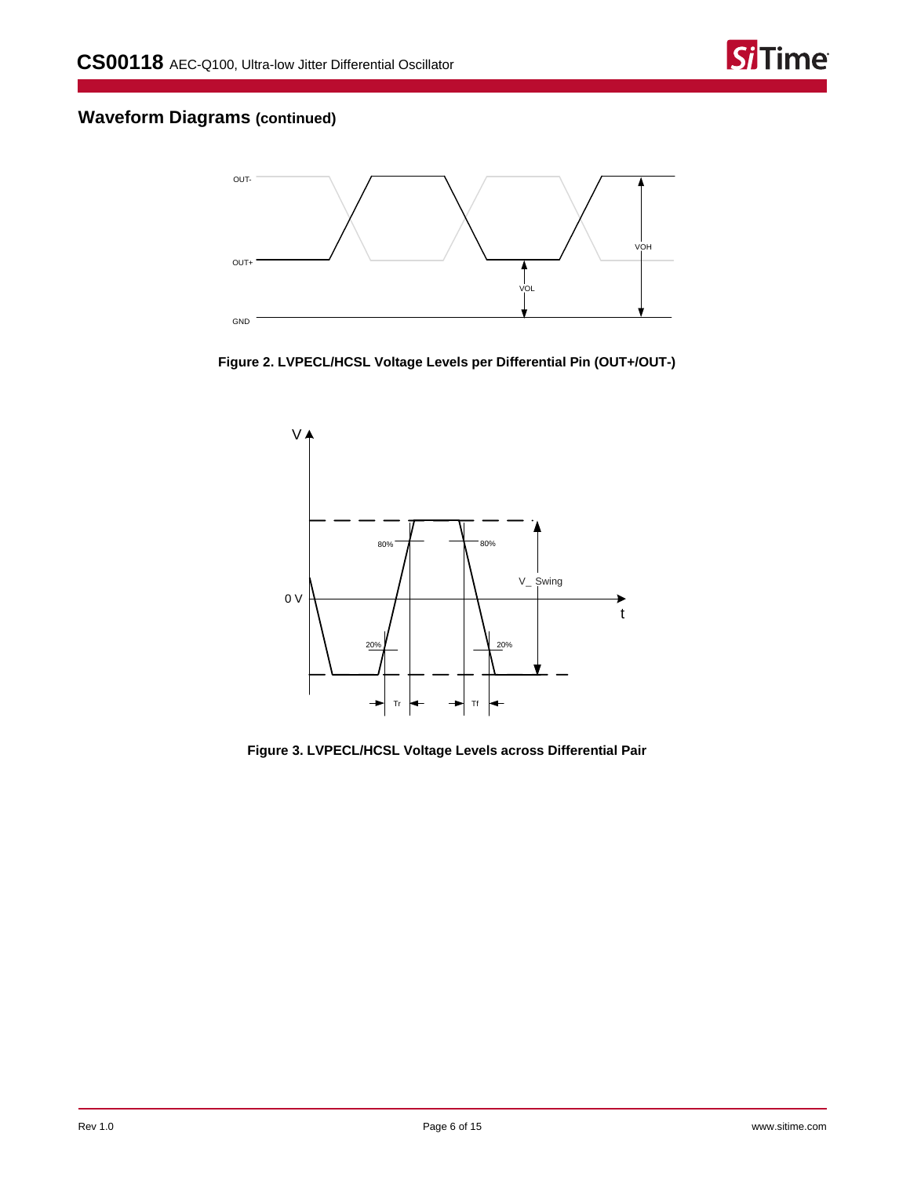

# **Waveform Diagrams (continued)**



<span id="page-5-0"></span>**Figure 2. LVPECL/HCSL Voltage Levels per Differential Pin (OUT+/OUT-)**



<span id="page-5-1"></span>**Figure 3. LVPECL/HCSL Voltage Levels across Differential Pair**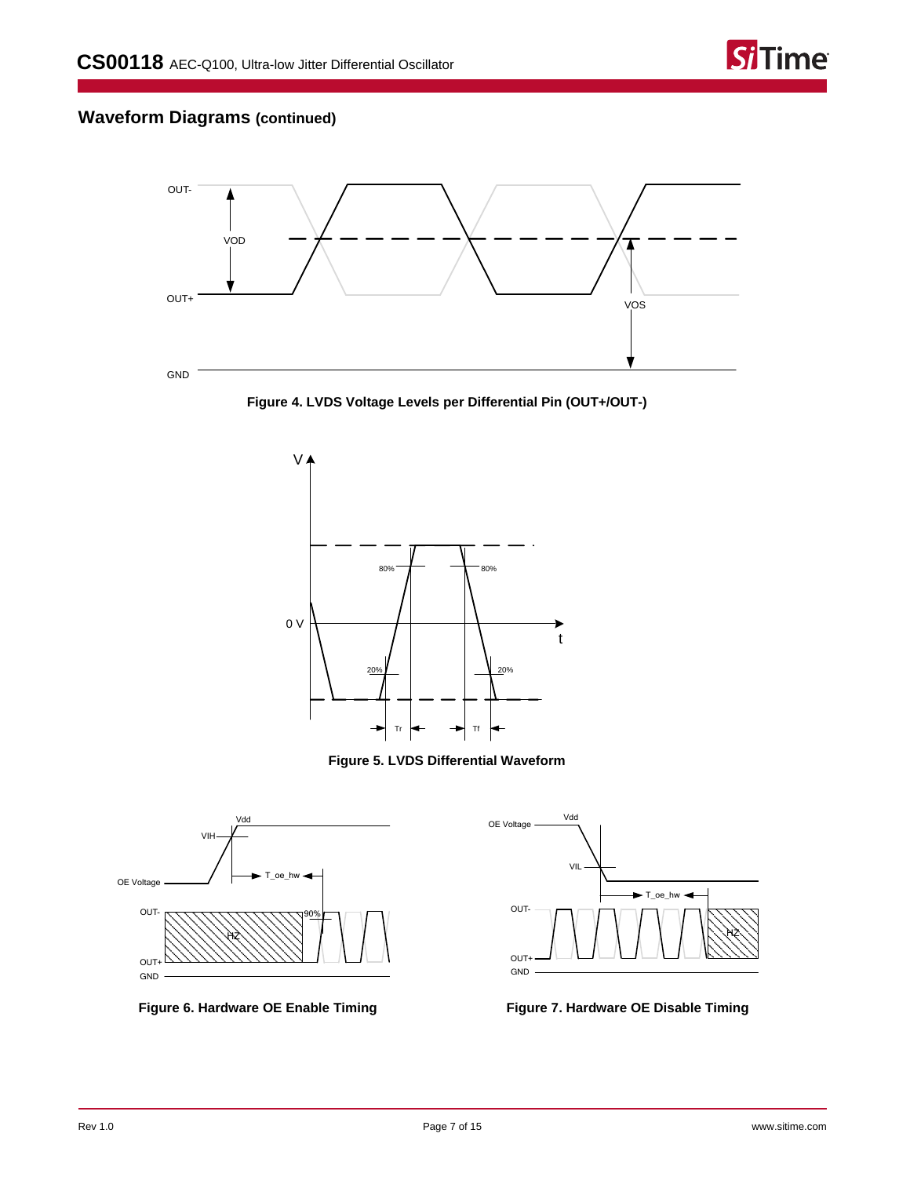

# **Waveform Diagrams (continued)**



<span id="page-6-2"></span>**Figure 4. LVDS Voltage Levels per Differential Pin (OUT+/OUT-)**





<span id="page-6-3"></span>

<span id="page-6-0"></span>



<span id="page-6-1"></span>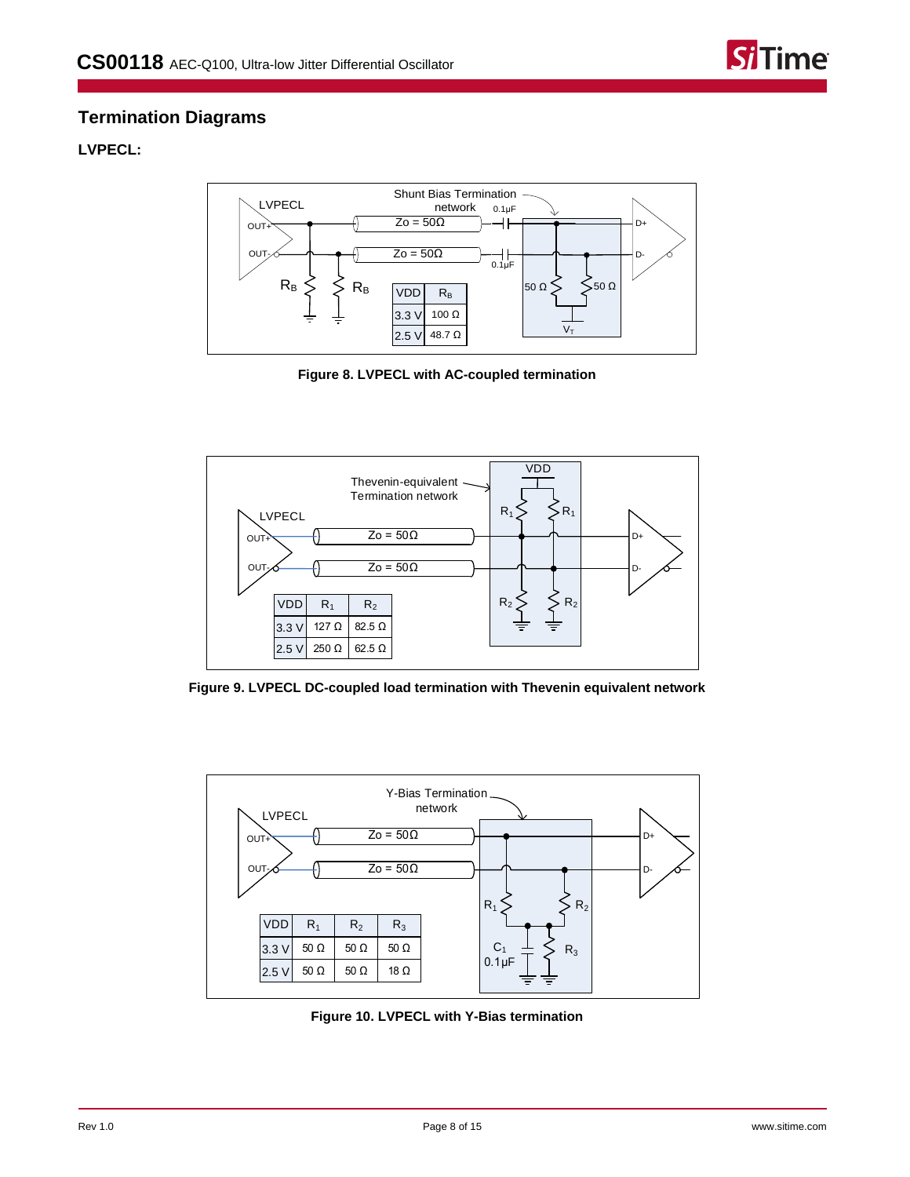

## **Termination Diagrams**

## **LVPECL:**



**Figure 8. LVPECL with AC-coupled termination**



**Figure 9. LVPECL DC-coupled load termination with Thevenin equivalent network**



**Figure 10. LVPECL with Y-Bias termination**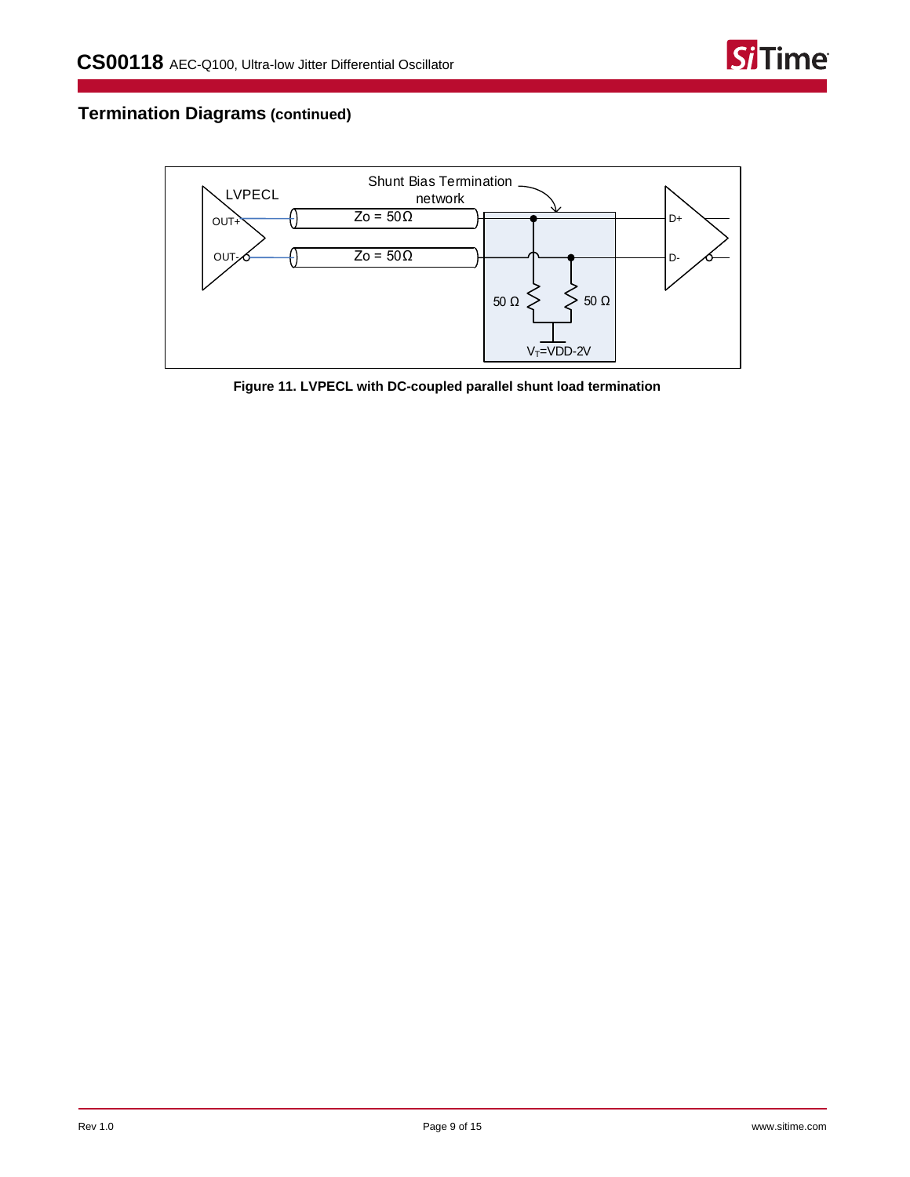

# **Termination Diagrams (continued)**



**Figure 11. LVPECL with DC-coupled parallel shunt load termination**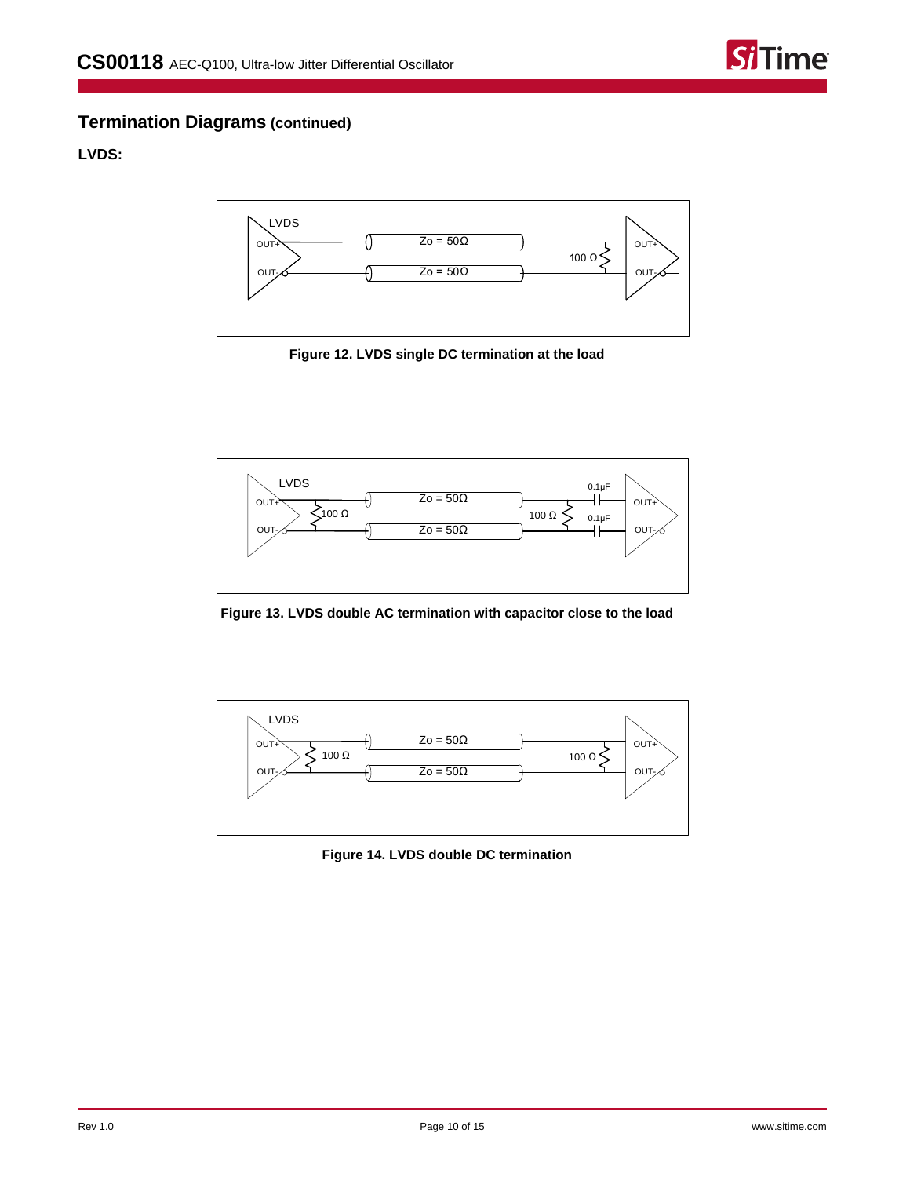

## **Termination Diagrams (continued)**

## **LVDS:**



**Figure 12. LVDS single DC termination at the load**



**Figure 13. LVDS double AC termination with capacitor close to the load**



**Figure 14. LVDS double DC termination**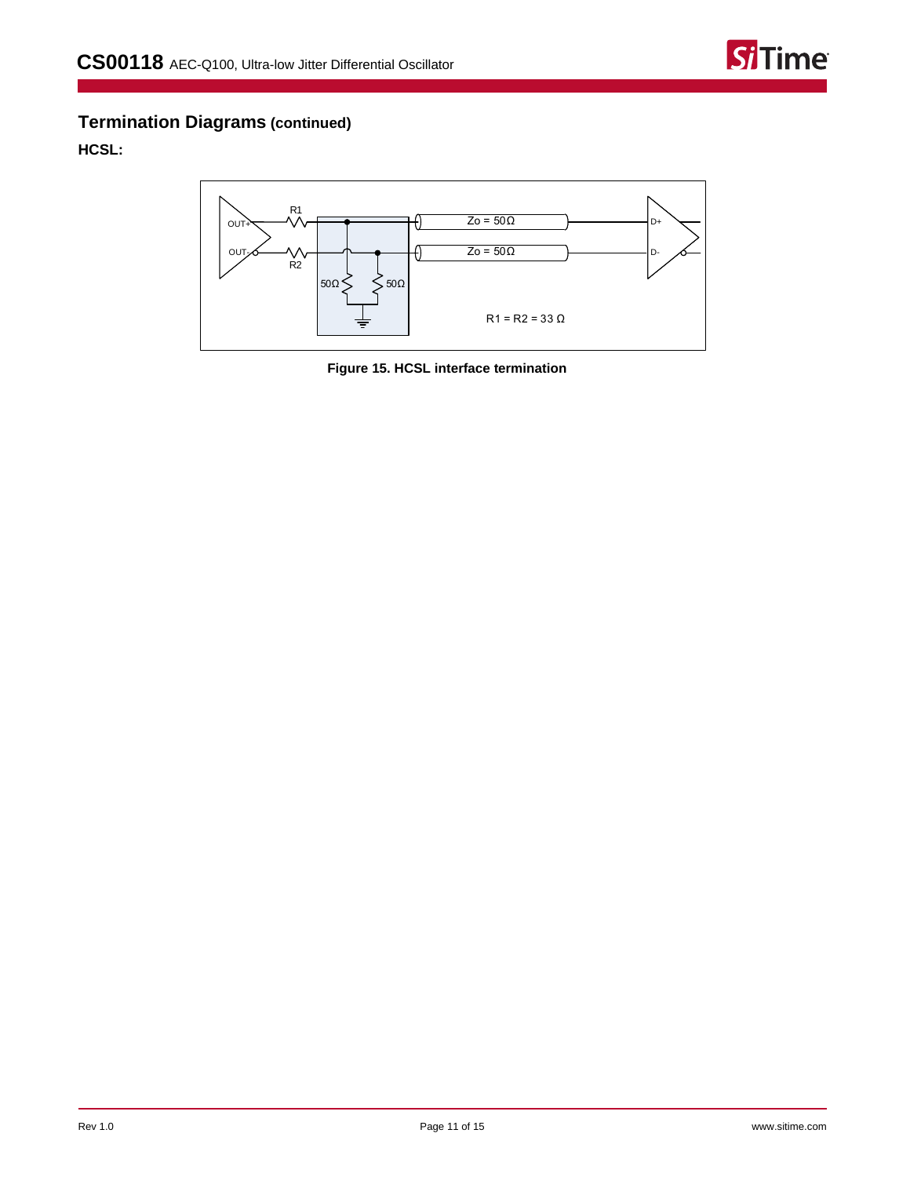

## **Termination Diagrams (continued)**

## **HCSL:**



**Figure 15. HCSL interface termination**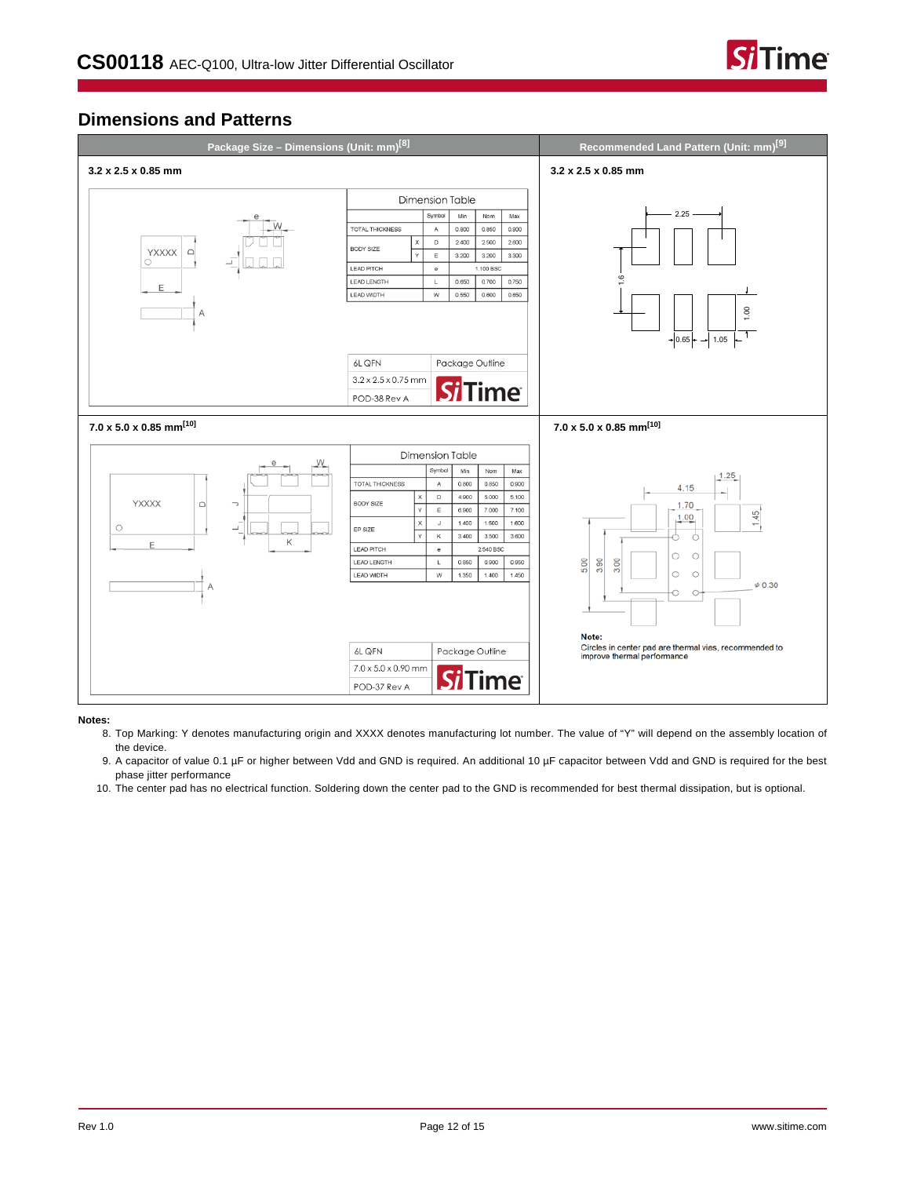

## **Dimensions and Patterns**



<span id="page-11-0"></span>**Notes:**

8. Top Marking: Y denotes manufacturing origin and XXXX denotes manufacturing lot number. The value of "Y" will depend on the assembly location of the device.

<span id="page-11-1"></span>9. A capacitor of value 0.1 µF or higher between Vdd and GND is required. An additional 10 µF capacitor between Vdd and GND is required for the best phase jitter performance

<span id="page-11-2"></span>10. The center pad has no electrical function. Soldering down the center pad to the GND is recommended for best thermal dissipation, but is optional.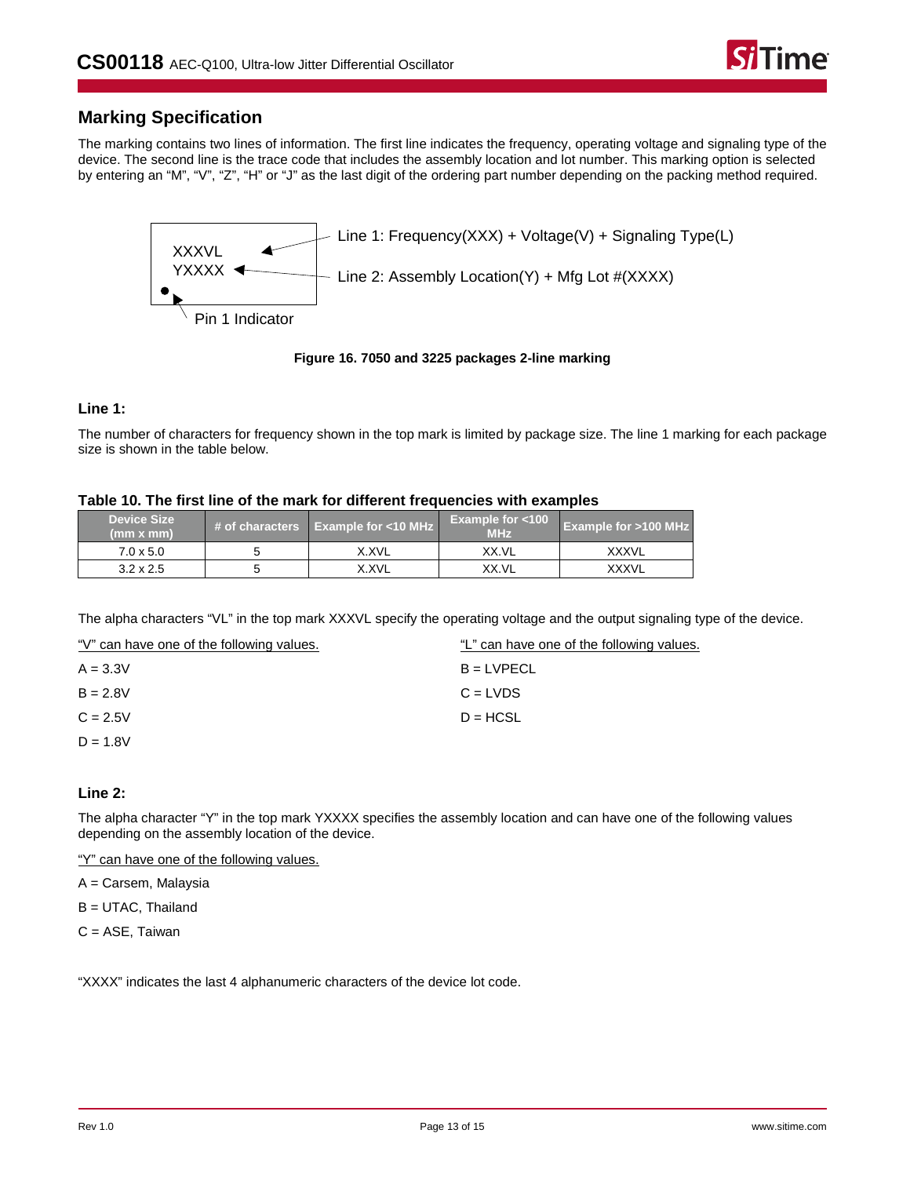

## **Marking Specification**

The marking contains two lines of information. The first line indicates the frequency, operating voltage and signaling type of the device. The second line is the trace code that includes the assembly location and lot number. This marking option is selected by entering an "M", "V", "Z", "H" or "J" as the last digit of the ordering part number depending on the packing method required.



**Figure 16. 7050 and 3225 packages 2-line marking**

### **Line 1:**

The number of characters for frequency shown in the top mark is limited by package size. The line 1 marking for each package size is shown in the table below.

| Table TV. The first line of the mark for unferent frequencies with examples |  |                                        |                            |                                |  |  |  |  |
|-----------------------------------------------------------------------------|--|----------------------------------------|----------------------------|--------------------------------|--|--|--|--|
| <b>Device Size</b><br>(mm x mm)                                             |  | $\#$ of characters Example for <10 MHz | Example for $<$ 100<br>MHZ | <b>Example for &gt;100 MHz</b> |  |  |  |  |
| $7.0 \times 5.0$                                                            |  | X.XVL                                  | XX.VL                      | <b>XXXVL</b>                   |  |  |  |  |

3.2 x 2.5 | 5 | X.XVL | XX.VL | XXXVL

### **Table 10. The first line of the mark for different frequencies with examples**

The alpha characters "VL" in the top mark XXXVL specify the operating voltage and the output signaling type of the device.

| "V" can have one of the following values. | "L" can have one of the following values. |
|-------------------------------------------|-------------------------------------------|
| $A = 3.3V$                                | $B = LVPECL$                              |
| $B = 2.8V$                                | $C = LVDS$                                |
| $C = 2.5V$                                | $D = HCSL$                                |
| $D = 1.8V$                                |                                           |

### **Line 2:**

The alpha character "Y" in the top mark YXXXX specifies the assembly location and can have one of the following values depending on the assembly location of the device.

"Y" can have one of the following values.

A = Carsem, Malaysia

B = UTAC, Thailand

C = ASE, Taiwan

"XXXX" indicates the last 4 alphanumeric characters of the device lot code.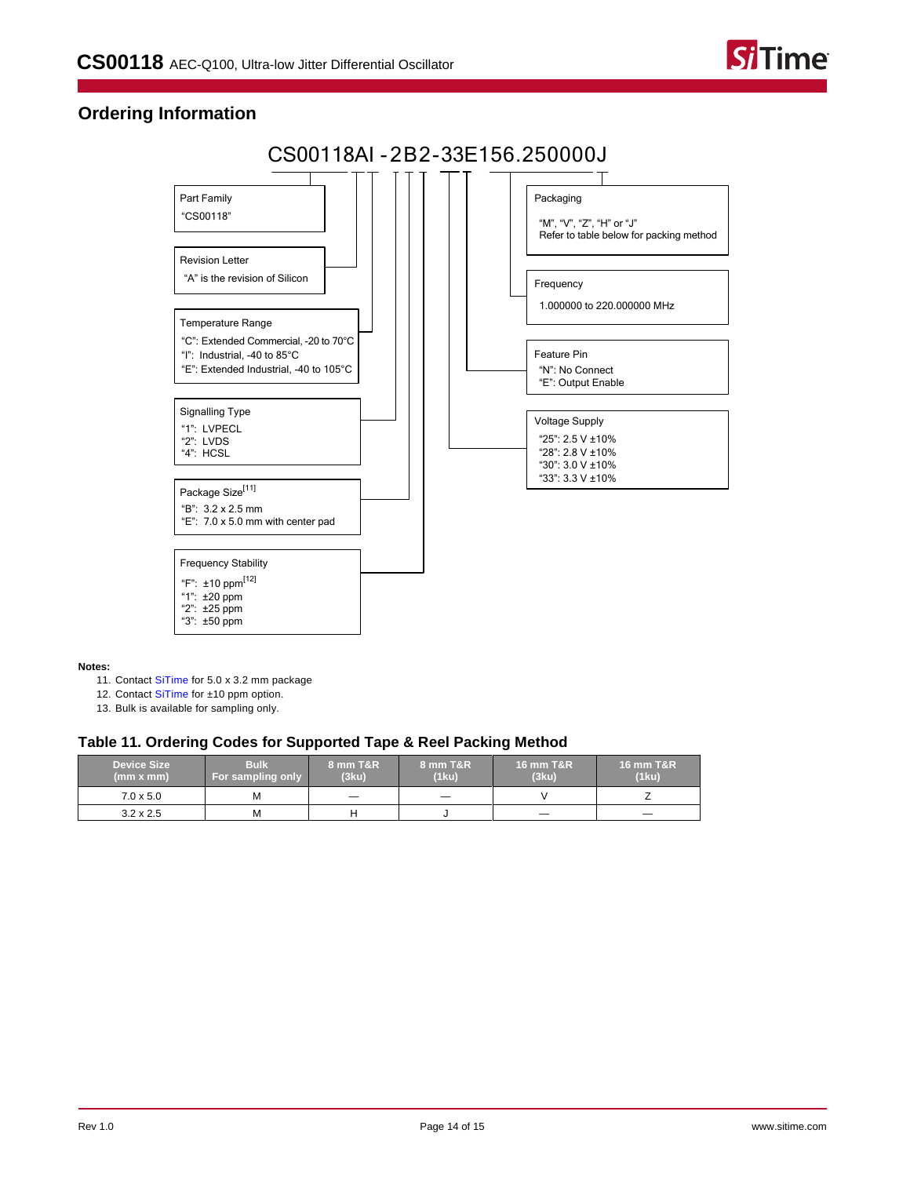

## **Ordering Information**



#### <span id="page-13-3"></span><span id="page-13-0"></span>**Notes:**

- 11. Contac[t SiTime](https://www.sitime.com/company/contact-us) for 5.0 x 3.2 mm package
- <span id="page-13-1"></span>12. Contac[t SiTime](https://www.sitime.com/company/contact-us) for ±10 ppm option.
- <span id="page-13-2"></span>13. Bulk is available for sampling only.

### **Table 11. Ordering Codes for Supported Tape & Reel Packing Method**

| Device Size<br>(mm x mm) | <b>Bulk</b><br>For sampling only | 8 mm T&R<br>(3ku)        | 8 mm T&R<br>(1ku)               | <b>16 mm T&amp;R</b><br>(3ku) | <b>16 mm T&amp;R</b><br>(1ku) |
|--------------------------|----------------------------------|--------------------------|---------------------------------|-------------------------------|-------------------------------|
| $7.0 \times 5.0$         | м                                | $\overline{\phantom{a}}$ | $\hspace{0.1mm}-\hspace{0.1mm}$ |                               |                               |
| $3.2 \times 2.5$         | М                                |                          |                                 | $\overline{\phantom{a}}$      | -                             |